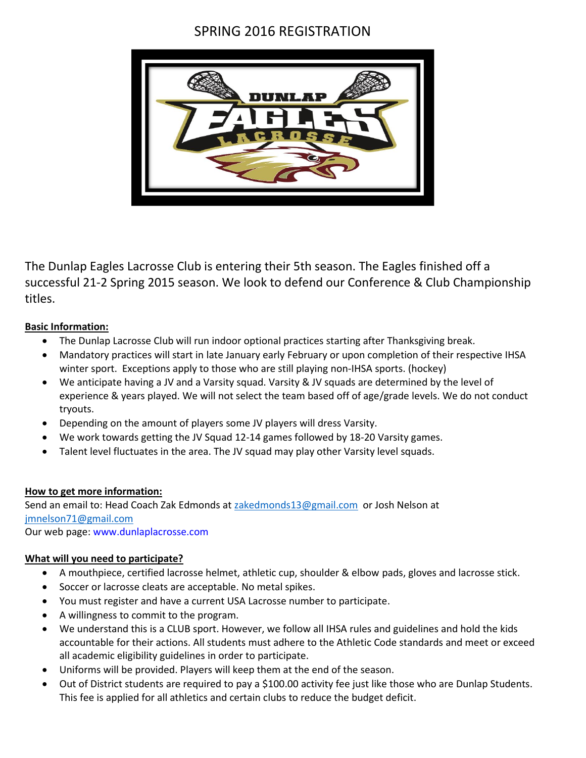## SPRING 2016 REGISTRATION



The Dunlap Eagles Lacrosse Club is entering their 5th season. The Eagles finished off a successful 21-2 Spring 2015 season. We look to defend our Conference & Club Championship titles.

## **Basic Information:**

- The Dunlap Lacrosse Club will run indoor optional practices starting after Thanksgiving break.
- Mandatory practices will start in late January early February or upon completion of their respective IHSA winter sport. Exceptions apply to those who are still playing non-IHSA sports. (hockey)
- We anticipate having a JV and a Varsity squad. Varsity & JV squads are determined by the level of experience & years played. We will not select the team based off of age/grade levels. We do not conduct tryouts.
- Depending on the amount of players some JV players will dress Varsity.
- We work towards getting the JV Squad 12-14 games followed by 18-20 Varsity games.
- Talent level fluctuates in the area. The JV squad may play other Varsity level squads.

## **How to get more information:**

Send an email to: Head Coach Zak Edmonds a[t zakedmonds13@gmail.com](mailto:zakedmonds13@gmail.com) or Josh Nelson at [jmnelson71@gmail.com](mailto:jmnelson71@gmail.com)

Our web page: www.dunlaplacrosse.com

## **What will you need to participate?**

- A mouthpiece, certified lacrosse helmet, athletic cup, shoulder & elbow pads, gloves and lacrosse stick.
- Soccer or lacrosse cleats are acceptable. No metal spikes.
- You must register and have a current USA Lacrosse number to participate.
- A willingness to commit to the program.
- We understand this is a CLUB sport. However, we follow all IHSA rules and guidelines and hold the kids accountable for their actions. All students must adhere to the Athletic Code standards and meet or exceed all academic eligibility guidelines in order to participate.
- Uniforms will be provided. Players will keep them at the end of the season.
- Out of District students are required to pay a \$100.00 activity fee just like those who are Dunlap Students. This fee is applied for all athletics and certain clubs to reduce the budget deficit.